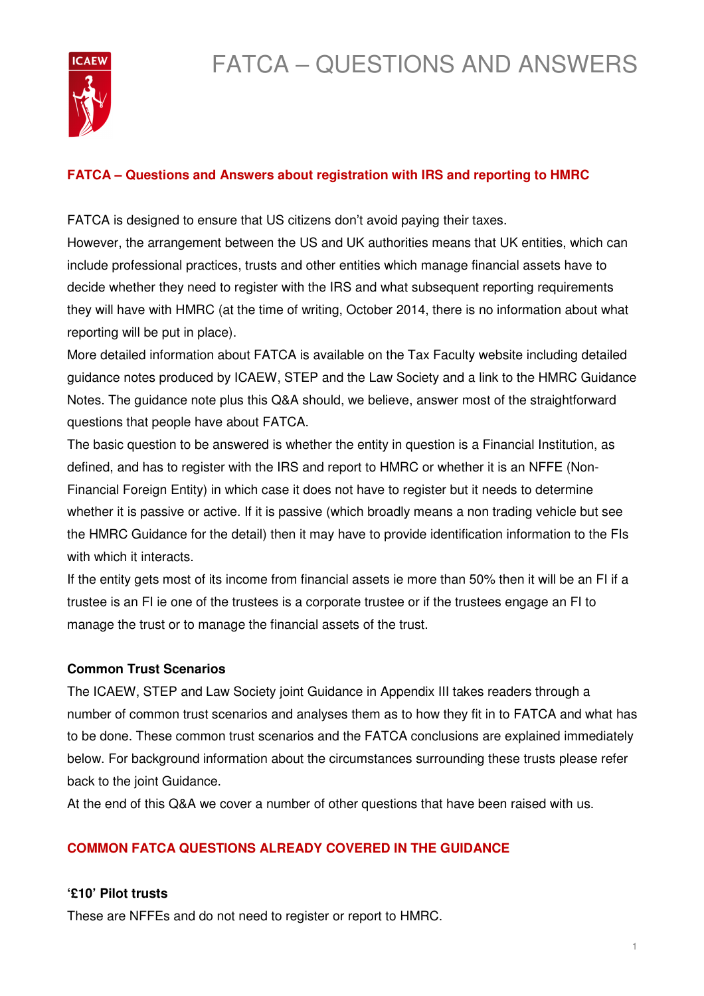# FATCA – QUESTIONS AND ANSWERS



# **FATCA – Questions and Answers about registration with IRS and reporting to HMRC**

FATCA is designed to ensure that US citizens don't avoid paying their taxes.

However, the arrangement between the US and UK authorities means that UK entities, which can include professional practices, trusts and other entities which manage financial assets have to decide whether they need to register with the IRS and what subsequent reporting requirements they will have with HMRC (at the time of writing, October 2014, there is no information about what reporting will be put in place).

More detailed information about FATCA is available on the Tax Faculty website including detailed guidance notes produced by ICAEW, STEP and the Law Society and a link to the HMRC Guidance Notes. The guidance note plus this Q&A should, we believe, answer most of the straightforward questions that people have about FATCA.

The basic question to be answered is whether the entity in question is a Financial Institution, as defined, and has to register with the IRS and report to HMRC or whether it is an NFFE (Non-Financial Foreign Entity) in which case it does not have to register but it needs to determine whether it is passive or active. If it is passive (which broadly means a non trading vehicle but see the HMRC Guidance for the detail) then it may have to provide identification information to the FIs with which it interacts.

If the entity gets most of its income from financial assets ie more than 50% then it will be an FI if a trustee is an FI ie one of the trustees is a corporate trustee or if the trustees engage an FI to manage the trust or to manage the financial assets of the trust.

#### **Common Trust Scenarios**

The ICAEW, STEP and Law Society joint Guidance in Appendix III takes readers through a number of common trust scenarios and analyses them as to how they fit in to FATCA and what has to be done. These common trust scenarios and the FATCA conclusions are explained immediately below. For background information about the circumstances surrounding these trusts please refer back to the joint Guidance.

At the end of this Q&A we cover a number of other questions that have been raised with us.

# **COMMON FATCA QUESTIONS ALREADY COVERED IN THE GUIDANCE**

#### **'£10' Pilot trusts**

These are NFFEs and do not need to register or report to HMRC.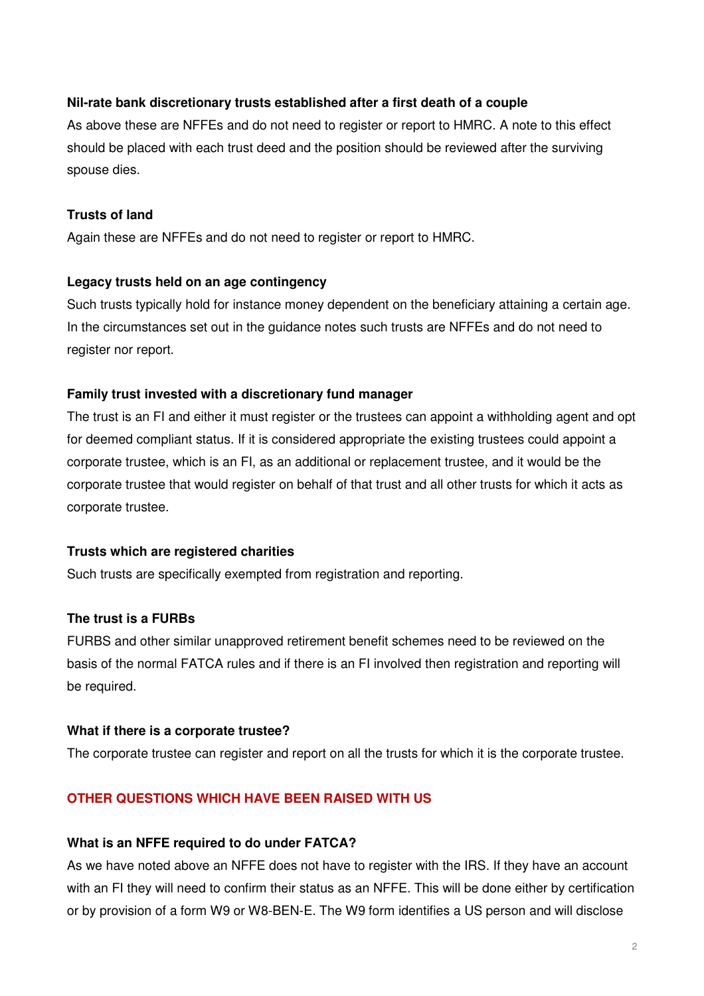#### **Nil-rate bank discretionary trusts established after a first death of a couple**

As above these are NFFEs and do not need to register or report to HMRC. A note to this effect should be placed with each trust deed and the position should be reviewed after the surviving spouse dies.

#### **Trusts of land**

Again these are NFFEs and do not need to register or report to HMRC.

#### **Legacy trusts held on an age contingency**

Such trusts typically hold for instance money dependent on the beneficiary attaining a certain age. In the circumstances set out in the guidance notes such trusts are NFFEs and do not need to register nor report.

#### **Family trust invested with a discretionary fund manager**

The trust is an FI and either it must register or the trustees can appoint a withholding agent and opt for deemed compliant status. If it is considered appropriate the existing trustees could appoint a corporate trustee, which is an FI, as an additional or replacement trustee, and it would be the corporate trustee that would register on behalf of that trust and all other trusts for which it acts as corporate trustee.

#### **Trusts which are registered charities**

Such trusts are specifically exempted from registration and reporting.

#### **The trust is a FURBs**

FURBS and other similar unapproved retirement benefit schemes need to be reviewed on the basis of the normal FATCA rules and if there is an FI involved then registration and reporting will be required.

#### **What if there is a corporate trustee?**

The corporate trustee can register and report on all the trusts for which it is the corporate trustee.

#### **OTHER QUESTIONS WHICH HAVE BEEN RAISED WITH US**

#### **What is an NFFE required to do under FATCA?**

As we have noted above an NFFE does not have to register with the IRS. If they have an account with an FI they will need to confirm their status as an NFFE. This will be done either by certification or by provision of a form W9 or W8-BEN-E. The W9 form identifies a US person and will disclose